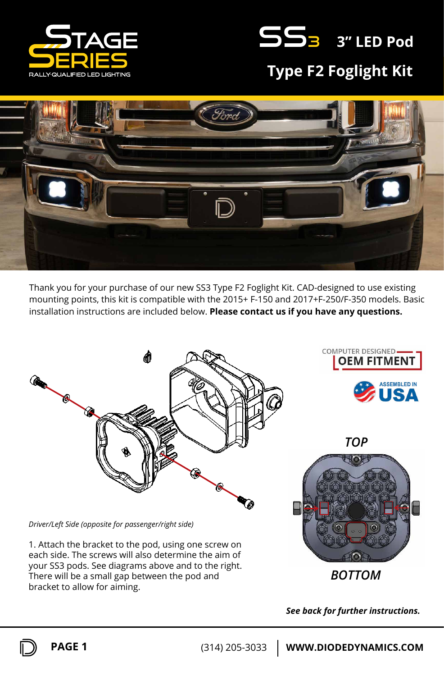



## **Type F2 Foglight Kit**



Thank you for your purchase of our new SS3 Type F2 Foglight Kit. CAD-designed to use existing mounting points, this kit is compatible with the 2015+ F-150 and 2017+F-250/F-350 models. Basic installation instructions are included below. **Please contact us if you have any questions.**



*Driver/Left Side (opposite for passenger/right side)*

1. Attach the bracket to the pod, using one screw on each side. The screws will also determine the aim of your SS3 pods. See diagrams above and to the right. There will be a small gap between the pod and bracket to allow for aiming.

COMPUTER DESIGNED. **OEM FITMENT ASSEMBLED IN** SЛ



*See back for further instructions.*